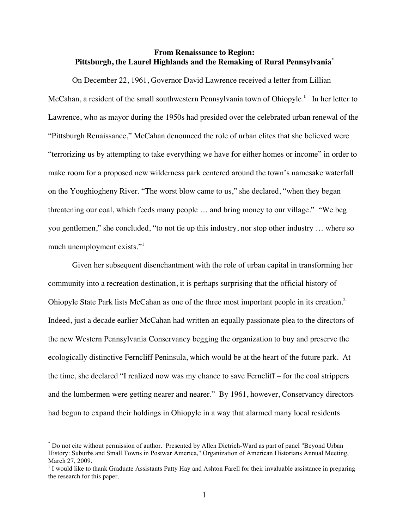# **From Renaissance to Region: Pittsburgh, the Laurel Highlands and the Remaking of Rural Pennsylvania\***

On December 22, 1961, Governor David Lawrence received a letter from Lillian McCahan, a resident of the small southwestern Pennsylvania town of Ohiopyle.<sup>1</sup> In her letter to Lawrence, who as mayor during the 1950s had presided over the celebrated urban renewal of the "Pittsburgh Renaissance," McCahan denounced the role of urban elites that she believed were "terrorizing us by attempting to take everything we have for either homes or income" in order to make room for a proposed new wilderness park centered around the town's namesake waterfall on the Youghiogheny River. "The worst blow came to us," she declared, "when they began threatening our coal, which feeds many people … and bring money to our village." "We beg you gentlemen," she concluded, "to not tie up this industry, nor stop other industry … where so much unemployment exists."<sup>1</sup>

Given her subsequent disenchantment with the role of urban capital in transforming her community into a recreation destination, it is perhaps surprising that the official history of Ohiopyle State Park lists McCahan as one of the three most important people in its creation.<sup>2</sup> Indeed, just a decade earlier McCahan had written an equally passionate plea to the directors of the new Western Pennsylvania Conservancy begging the organization to buy and preserve the ecologically distinctive Ferncliff Peninsula, which would be at the heart of the future park. At the time, she declared "I realized now was my chance to save Ferncliff – for the coal strippers and the lumbermen were getting nearer and nearer." By 1961, however, Conservancy directors had begun to expand their holdings in Ohiopyle in a way that alarmed many local residents

 <sup>\*</sup> Do not cite without permission of author. Presented by Allen Dietrich-Ward as part of panel "Beyond Urban History: Suburbs and Small Towns in Postwar America," Organization of American Historians Annual Meeting, March 27, 2009.

<sup>&</sup>lt;sup>1</sup> I would like to thank Graduate Assistants Patty Hay and Ashton Farell for their invaluable assistance in preparing the research for this paper.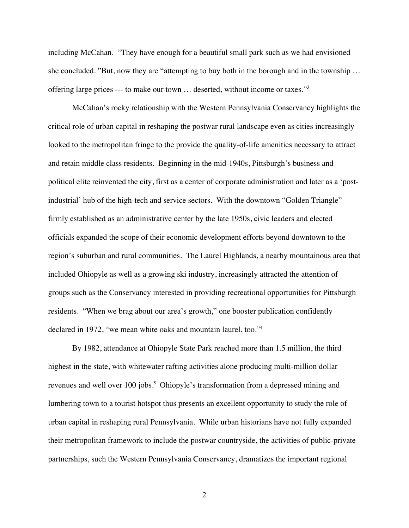including McCahan. "They have enough for a beautiful small park such as we had envisioned she concluded. "But, now they are "attempting to buy both in the borough and in the township … offering large prices --- to make our town ... deserted, without income or taxes."<sup>3</sup>

McCahan's rocky relationship with the Western Pennsylvania Conservancy highlights the critical role of urban capital in reshaping the postwar rural landscape even as cities increasingly looked to the metropolitan fringe to the provide the quality-of-life amenities necessary to attract and retain middle class residents. Beginning in the mid-1940s, Pittsburgh's business and political elite reinvented the city, first as a center of corporate administration and later as a 'postindustrial' hub of the high-tech and service sectors. With the downtown "Golden Triangle" firmly established as an administrative center by the late 1950s, civic leaders and elected officials expanded the scope of their economic development efforts beyond downtown to the region's suburban and rural communities. The Laurel Highlands, a nearby mountainous area that included Ohiopyle as well as a growing ski industry, increasingly attracted the attention of groups such as the Conservancy interested in providing recreational opportunities for Pittsburgh residents. "When we brag about our area's growth," one booster publication confidently declared in 1972, "we mean white oaks and mountain laurel, too."<sup>4</sup>

By 1982, attendance at Ohiopyle State Park reached more than 1.5 million, the third highest in the state, with whitewater rafting activities alone producing multi-million dollar revenues and well over 100 jobs.<sup>5</sup> Ohiopyle's transformation from a depressed mining and lumbering town to a tourist hotspot thus presents an excellent opportunity to study the role of urban capital in reshaping rural Pennsylvania. While urban historians have not fully expanded their metropolitan framework to include the postwar countryside, the activities of public-private partnerships, such the Western Pennsylvania Conservancy, dramatizes the important regional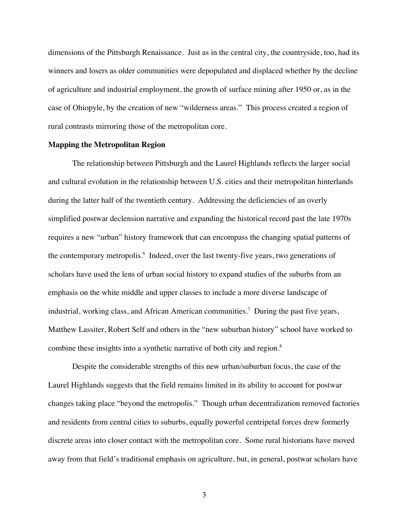dimensions of the Pittsburgh Renaissance. Just as in the central city, the countryside, too, had its winners and losers as older communities were depopulated and displaced whether by the decline of agriculture and industrial employment, the growth of surface mining after 1950 or, as in the case of Ohiopyle, by the creation of new "wilderness areas." This process created a region of rural contrasts mirroring those of the metropolitan core.

#### **Mapping the Metropolitan Region**

The relationship between Pittsburgh and the Laurel Highlands reflects the larger social and cultural evolution in the relationship between U.S. cities and their metropolitan hinterlands during the latter half of the twentieth century. Addressing the deficiencies of an overly simplified postwar declension narrative and expanding the historical record past the late 1970s requires a new "urban" history framework that can encompass the changing spatial patterns of the contemporary metropolis.<sup>6</sup> Indeed, over the last twenty-five years, two generations of scholars have used the lens of urban social history to expand studies of the suburbs from an emphasis on the white middle and upper classes to include a more diverse landscape of industrial, working class, and African American communities.<sup>7</sup> During the past five years, Matthew Lassiter, Robert Self and others in the "new suburban history" school have worked to combine these insights into a synthetic narrative of both city and region.<sup>8</sup>

Despite the considerable strengths of this new urban/suburban focus, the case of the Laurel Highlands suggests that the field remains limited in its ability to account for postwar changes taking place "beyond the metropolis." Though urban decentralization removed factories and residents from central cities to suburbs, equally powerful centripetal forces drew formerly discrete areas into closer contact with the metropolitan core. Some rural historians have moved away from that field's traditional emphasis on agriculture, but, in general, postwar scholars have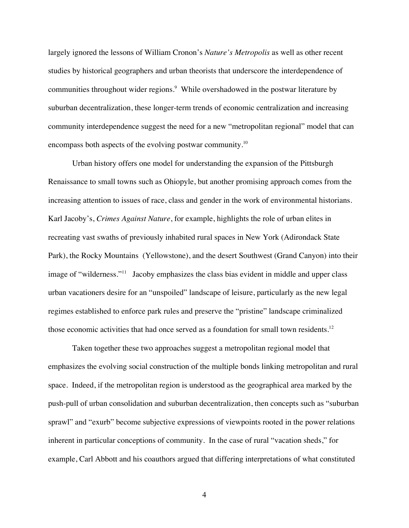largely ignored the lessons of William Cronon's *Nature's Metropolis* as well as other recent studies by historical geographers and urban theorists that underscore the interdependence of communities throughout wider regions.<sup>9</sup> While overshadowed in the postwar literature by suburban decentralization, these longer-term trends of economic centralization and increasing community interdependence suggest the need for a new "metropolitan regional" model that can encompass both aspects of the evolving postwar community.<sup>10</sup>

Urban history offers one model for understanding the expansion of the Pittsburgh Renaissance to small towns such as Ohiopyle, but another promising approach comes from the increasing attention to issues of race, class and gender in the work of environmental historians. Karl Jacoby's, *Crimes Against Nature*, for example, highlights the role of urban elites in recreating vast swaths of previously inhabited rural spaces in New York (Adirondack State Park), the Rocky Mountains (Yellowstone), and the desert Southwest (Grand Canyon) into their image of "wilderness."<sup>11</sup> Jacoby emphasizes the class bias evident in middle and upper class urban vacationers desire for an "unspoiled" landscape of leisure, particularly as the new legal regimes established to enforce park rules and preserve the "pristine" landscape criminalized those economic activities that had once served as a foundation for small town residents.<sup>12</sup>

Taken together these two approaches suggest a metropolitan regional model that emphasizes the evolving social construction of the multiple bonds linking metropolitan and rural space. Indeed, if the metropolitan region is understood as the geographical area marked by the push-pull of urban consolidation and suburban decentralization, then concepts such as "suburban sprawl" and "exurb" become subjective expressions of viewpoints rooted in the power relations inherent in particular conceptions of community. In the case of rural "vacation sheds," for example, Carl Abbott and his coauthors argued that differing interpretations of what constituted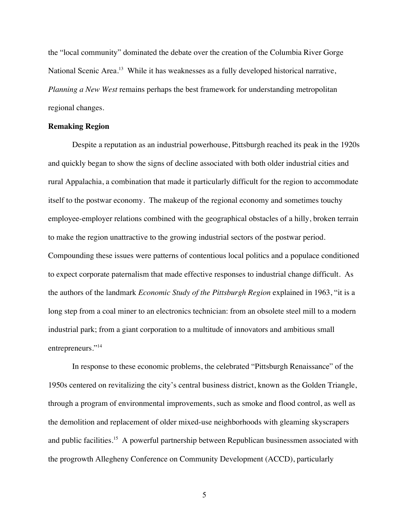the "local community" dominated the debate over the creation of the Columbia River Gorge National Scenic Area.<sup>13</sup> While it has weaknesses as a fully developed historical narrative, *Planning a New West* remains perhaps the best framework for understanding metropolitan regional changes.

### **Remaking Region**

Despite a reputation as an industrial powerhouse, Pittsburgh reached its peak in the 1920s and quickly began to show the signs of decline associated with both older industrial cities and rural Appalachia, a combination that made it particularly difficult for the region to accommodate itself to the postwar economy. The makeup of the regional economy and sometimes touchy employee-employer relations combined with the geographical obstacles of a hilly, broken terrain to make the region unattractive to the growing industrial sectors of the postwar period. Compounding these issues were patterns of contentious local politics and a populace conditioned to expect corporate paternalism that made effective responses to industrial change difficult. As the authors of the landmark *Economic Study of the Pittsburgh Region* explained in 1963, "it is a long step from a coal miner to an electronics technician: from an obsolete steel mill to a modern industrial park; from a giant corporation to a multitude of innovators and ambitious small entrepreneurs."<sup>14</sup>

In response to these economic problems, the celebrated "Pittsburgh Renaissance" of the 1950s centered on revitalizing the city's central business district, known as the Golden Triangle, through a program of environmental improvements, such as smoke and flood control, as well as the demolition and replacement of older mixed-use neighborhoods with gleaming skyscrapers and public facilities.<sup>15</sup> A powerful partnership between Republican businessmen associated with the progrowth Allegheny Conference on Community Development (ACCD), particularly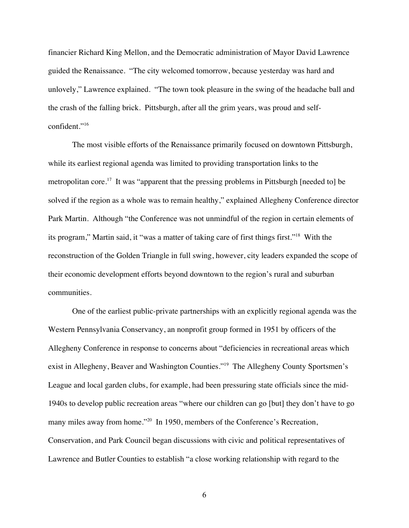financier Richard King Mellon, and the Democratic administration of Mayor David Lawrence guided the Renaissance. "The city welcomed tomorrow, because yesterday was hard and unlovely," Lawrence explained. "The town took pleasure in the swing of the headache ball and the crash of the falling brick. Pittsburgh, after all the grim years, was proud and selfconfident."<sup>16</sup>

The most visible efforts of the Renaissance primarily focused on downtown Pittsburgh, while its earliest regional agenda was limited to providing transportation links to the metropolitan core.<sup>17</sup> It was "apparent that the pressing problems in Pittsburgh [needed to] be solved if the region as a whole was to remain healthy," explained Allegheny Conference director Park Martin. Although "the Conference was not unmindful of the region in certain elements of its program," Martin said, it "was a matter of taking care of first things first."18 With the reconstruction of the Golden Triangle in full swing, however, city leaders expanded the scope of their economic development efforts beyond downtown to the region's rural and suburban communities.

One of the earliest public-private partnerships with an explicitly regional agenda was the Western Pennsylvania Conservancy, an nonprofit group formed in 1951 by officers of the Allegheny Conference in response to concerns about "deficiencies in recreational areas which exist in Allegheny, Beaver and Washington Counties."<sup>19</sup> The Allegheny County Sportsmen's League and local garden clubs, for example, had been pressuring state officials since the mid-1940s to develop public recreation areas "where our children can go [but] they don't have to go many miles away from home."<sup>20</sup> In 1950, members of the Conference's Recreation, Conservation, and Park Council began discussions with civic and political representatives of Lawrence and Butler Counties to establish "a close working relationship with regard to the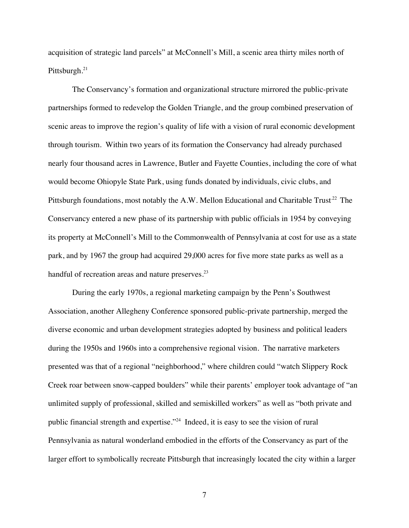acquisition of strategic land parcels" at McConnell's Mill, a scenic area thirty miles north of Pittsburgh.<sup>21</sup>

The Conservancy's formation and organizational structure mirrored the public-private partnerships formed to redevelop the Golden Triangle, and the group combined preservation of scenic areas to improve the region's quality of life with a vision of rural economic development through tourism. Within two years of its formation the Conservancy had already purchased nearly four thousand acres in Lawrence, Butler and Fayette Counties, including the core of what would become Ohiopyle State Park, using funds donated by individuals, civic clubs, and Pittsburgh foundations, most notably the A.W. Mellon Educational and Charitable Trust<sup>22</sup> The Conservancy entered a new phase of its partnership with public officials in 1954 by conveying its property at McConnell's Mill to the Commonwealth of Pennsylvania at cost for use as a state park, and by 1967 the group had acquired 29,000 acres for five more state parks as well as a handful of recreation areas and nature preserves.<sup>23</sup>

During the early 1970s, a regional marketing campaign by the Penn's Southwest Association, another Allegheny Conference sponsored public-private partnership, merged the diverse economic and urban development strategies adopted by business and political leaders during the 1950s and 1960s into a comprehensive regional vision. The narrative marketers presented was that of a regional "neighborhood," where children could "watch Slippery Rock Creek roar between snow-capped boulders" while their parents' employer took advantage of "an unlimited supply of professional, skilled and semiskilled workers" as well as "both private and public financial strength and expertise."24 Indeed, it is easy to see the vision of rural Pennsylvania as natural wonderland embodied in the efforts of the Conservancy as part of the larger effort to symbolically recreate Pittsburgh that increasingly located the city within a larger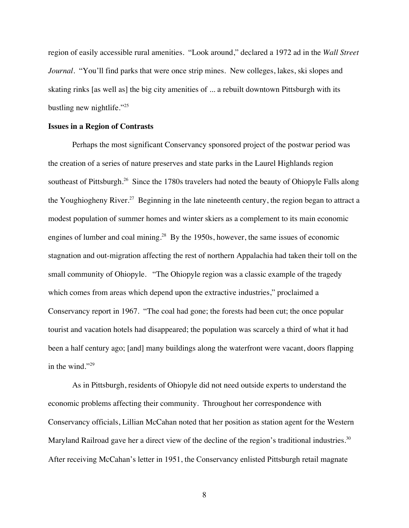region of easily accessible rural amenities. "Look around," declared a 1972 ad in the *Wall Street Journal*. "You'll find parks that were once strip mines. New colleges, lakes, ski slopes and skating rinks [as well as] the big city amenities of ... a rebuilt downtown Pittsburgh with its bustling new nightlife."<sup>25</sup>

### **Issues in a Region of Contrasts**

Perhaps the most significant Conservancy sponsored project of the postwar period was the creation of a series of nature preserves and state parks in the Laurel Highlands region southeast of Pittsburgh.<sup>26</sup> Since the 1780s travelers had noted the beauty of Ohiopyle Falls along the Youghiogheny River.<sup>27</sup> Beginning in the late nineteenth century, the region began to attract a modest population of summer homes and winter skiers as a complement to its main economic engines of lumber and coal mining.<sup>28</sup> By the 1950s, however, the same issues of economic stagnation and out-migration affecting the rest of northern Appalachia had taken their toll on the small community of Ohiopyle. "The Ohiopyle region was a classic example of the tragedy which comes from areas which depend upon the extractive industries," proclaimed a Conservancy report in 1967. "The coal had gone; the forests had been cut; the once popular tourist and vacation hotels had disappeared; the population was scarcely a third of what it had been a half century ago; [and] many buildings along the waterfront were vacant, doors flapping in the wind."<sup>29</sup>

As in Pittsburgh, residents of Ohiopyle did not need outside experts to understand the economic problems affecting their community. Throughout her correspondence with Conservancy officials, Lillian McCahan noted that her position as station agent for the Western Maryland Railroad gave her a direct view of the decline of the region's traditional industries.<sup>30</sup> After receiving McCahan's letter in 1951, the Conservancy enlisted Pittsburgh retail magnate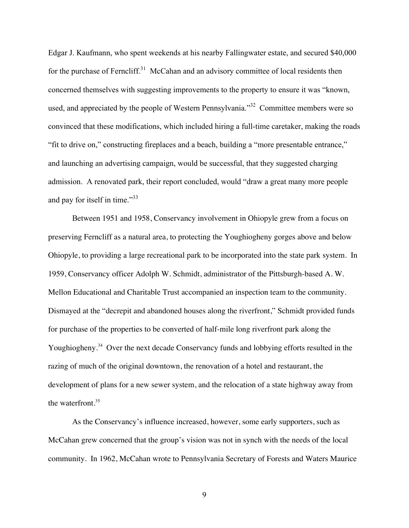Edgar J. Kaufmann, who spent weekends at his nearby Fallingwater estate, and secured \$40,000 for the purchase of Ferncliff.<sup>31</sup> McCahan and an advisory committee of local residents then concerned themselves with suggesting improvements to the property to ensure it was "known, used, and appreciated by the people of Western Pennsylvania.<sup>32</sup> Committee members were so convinced that these modifications, which included hiring a full-time caretaker, making the roads "fit to drive on," constructing fireplaces and a beach, building a "more presentable entrance," and launching an advertising campaign, would be successful, that they suggested charging admission. A renovated park, their report concluded, would "draw a great many more people and pay for itself in time."<sup>33</sup>

Between 1951 and 1958, Conservancy involvement in Ohiopyle grew from a focus on preserving Ferncliff as a natural area, to protecting the Youghiogheny gorges above and below Ohiopyle, to providing a large recreational park to be incorporated into the state park system. In 1959, Conservancy officer Adolph W. Schmidt, administrator of the Pittsburgh-based A. W. Mellon Educational and Charitable Trust accompanied an inspection team to the community. Dismayed at the "decrepit and abandoned houses along the riverfront," Schmidt provided funds for purchase of the properties to be converted of half-mile long riverfront park along the Youghiogheny.<sup>34</sup> Over the next decade Conservancy funds and lobbying efforts resulted in the razing of much of the original downtown, the renovation of a hotel and restaurant, the development of plans for a new sewer system, and the relocation of a state highway away from the waterfront. $35$ 

As the Conservancy's influence increased, however, some early supporters, such as McCahan grew concerned that the group's vision was not in synch with the needs of the local community. In 1962, McCahan wrote to Pennsylvania Secretary of Forests and Waters Maurice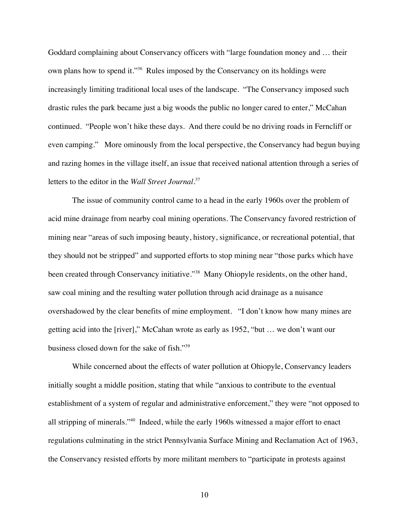Goddard complaining about Conservancy officers with "large foundation money and … their own plans how to spend it."36 Rules imposed by the Conservancy on its holdings were increasingly limiting traditional local uses of the landscape. "The Conservancy imposed such drastic rules the park became just a big woods the public no longer cared to enter," McCahan continued. "People won't hike these days. And there could be no driving roads in Ferncliff or even camping." More ominously from the local perspective, the Conservancy had begun buying and razing homes in the village itself, an issue that received national attention through a series of letters to the editor in the *Wall Street Journal*. 37

The issue of community control came to a head in the early 1960s over the problem of acid mine drainage from nearby coal mining operations. The Conservancy favored restriction of mining near "areas of such imposing beauty, history, significance, or recreational potential, that they should not be stripped" and supported efforts to stop mining near "those parks which have been created through Conservancy initiative."<sup>38</sup> Many Ohiopyle residents, on the other hand, saw coal mining and the resulting water pollution through acid drainage as a nuisance overshadowed by the clear benefits of mine employment. "I don't know how many mines are getting acid into the [river]," McCahan wrote as early as 1952, "but … we don't want our business closed down for the sake of fish."39

While concerned about the effects of water pollution at Ohiopyle, Conservancy leaders initially sought a middle position, stating that while "anxious to contribute to the eventual establishment of a system of regular and administrative enforcement," they were "not opposed to all stripping of minerals."40 Indeed, while the early 1960s witnessed a major effort to enact regulations culminating in the strict Pennsylvania Surface Mining and Reclamation Act of 1963, the Conservancy resisted efforts by more militant members to "participate in protests against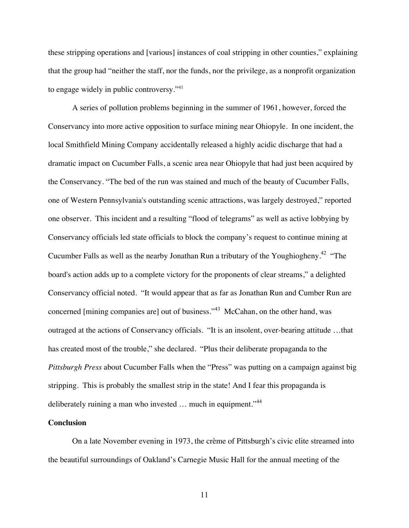these stripping operations and [various] instances of coal stripping in other counties," explaining that the group had "neither the staff, nor the funds, nor the privilege, as a nonprofit organization to engage widely in public controversy."<sup>41</sup>

A series of pollution problems beginning in the summer of 1961, however, forced the Conservancy into more active opposition to surface mining near Ohiopyle. In one incident, the local Smithfield Mining Company accidentally released a highly acidic discharge that had a dramatic impact on Cucumber Falls, a scenic area near Ohiopyle that had just been acquired by the Conservancy. "The bed of the run was stained and much of the beauty of Cucumber Falls, one of Western Pennsylvania's outstanding scenic attractions, was largely destroyed," reported one observer. This incident and a resulting "flood of telegrams" as well as active lobbying by Conservancy officials led state officials to block the company's request to continue mining at Cucumber Falls as well as the nearby Jonathan Run a tributary of the Youghiogheny.<sup>42</sup> "The board's action adds up to a complete victory for the proponents of clear streams," a delighted Conservancy official noted. "It would appear that as far as Jonathan Run and Cumber Run are concerned [mining companies are] out of business."<sup>43</sup> McCahan, on the other hand, was outraged at the actions of Conservancy officials. "It is an insolent, over-bearing attitude …that has created most of the trouble," she declared. "Plus their deliberate propaganda to the *Pittsburgh Press* about Cucumber Falls when the "Press" was putting on a campaign against big stripping. This is probably the smallest strip in the state! And I fear this propaganda is deliberately ruining a man who invested ... much in equipment."<sup>44</sup>

## **Conclusion**

On a late November evening in 1973, the crème of Pittsburgh's civic elite streamed into the beautiful surroundings of Oakland's Carnegie Music Hall for the annual meeting of the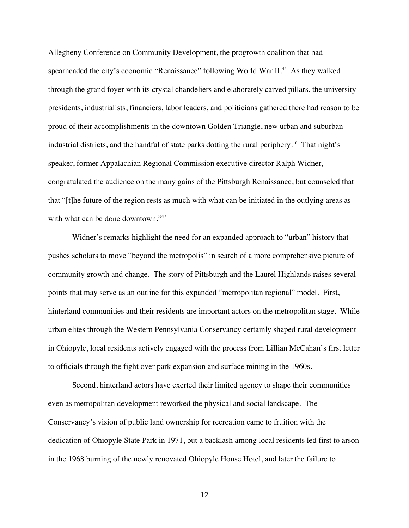Allegheny Conference on Community Development, the progrowth coalition that had spearheaded the city's economic "Renaissance" following World War II.<sup>45</sup> As they walked through the grand foyer with its crystal chandeliers and elaborately carved pillars, the university presidents, industrialists, financiers, labor leaders, and politicians gathered there had reason to be proud of their accomplishments in the downtown Golden Triangle, new urban and suburban industrial districts, and the handful of state parks dotting the rural periphery.<sup>46</sup> That night's speaker, former Appalachian Regional Commission executive director Ralph Widner, congratulated the audience on the many gains of the Pittsburgh Renaissance, but counseled that that "[t]he future of the region rests as much with what can be initiated in the outlying areas as with what can be done downtown."<sup>47</sup>

Widner's remarks highlight the need for an expanded approach to "urban" history that pushes scholars to move "beyond the metropolis" in search of a more comprehensive picture of community growth and change. The story of Pittsburgh and the Laurel Highlands raises several points that may serve as an outline for this expanded "metropolitan regional" model. First, hinterland communities and their residents are important actors on the metropolitan stage. While urban elites through the Western Pennsylvania Conservancy certainly shaped rural development in Ohiopyle, local residents actively engaged with the process from Lillian McCahan's first letter to officials through the fight over park expansion and surface mining in the 1960s.

Second, hinterland actors have exerted their limited agency to shape their communities even as metropolitan development reworked the physical and social landscape. The Conservancy's vision of public land ownership for recreation came to fruition with the dedication of Ohiopyle State Park in 1971, but a backlash among local residents led first to arson in the 1968 burning of the newly renovated Ohiopyle House Hotel, and later the failure to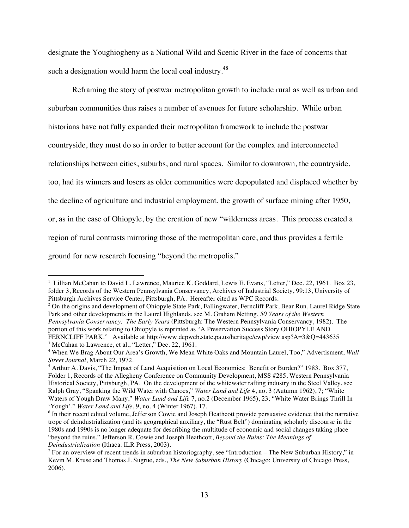designate the Youghiogheny as a National Wild and Scenic River in the face of concerns that such a designation would harm the local coal industry.<sup>48</sup>

Reframing the story of postwar metropolitan growth to include rural as well as urban and suburban communities thus raises a number of avenues for future scholarship. While urban historians have not fully expanded their metropolitan framework to include the postwar countryside, they must do so in order to better account for the complex and interconnected relationships between cities, suburbs, and rural spaces. Similar to downtown, the countryside, too, had its winners and losers as older communities were depopulated and displaced whether by the decline of agriculture and industrial employment, the growth of surface mining after 1950, or, as in the case of Ohiopyle, by the creation of new "wilderness areas. This process created a region of rural contrasts mirroring those of the metropolitan core, and thus provides a fertile ground for new research focusing "beyond the metropolis."

 $\overline{a}$ 

<sup>&</sup>lt;sup>1</sup> Lillian McCahan to David L. Lawrence, Maurice K. Goddard, Lewis E. Evans, "Letter," Dec. 22, 1961. Box 23, folder 3, Records of the Western Pennsylvania Conservancy, Archives of Industrial Society, 99:13, University of Pittsburgh Archives Service Center, Pittsburgh, PA. Hereafter cited as WPC Records.

<sup>&</sup>lt;sup>2</sup> On the origins and development of Ohiopyle State Park, Fallingwater, Ferncliff Park, Bear Run, Laurel Ridge State Park and other developments in the Laurel Highlands, see M. Graham Netting, *50 Years of the Western Pennsylvania Conservancy: The Early Years* (Pittsburgh: The Western Pennsylvania Conservancy, 1982). The portion of this work relating to Ohiopyle is reprinted as "A Preservation Success Story OHIOPYLE AND FERNCLIFF PARK." Available at http://www.depweb.state.pa.us/heritage/cwp/view.asp?A=3&Q=443635 <sup>3</sup> McCahan to Lawrence, et al., "Letter," Dec. 22, 1961.

<sup>4</sup> When We Brag About Our Area's Growth, We Mean White Oaks and Mountain Laurel, Too," Advertisment, *Wall Street Journal*, March 22, 1972.

<sup>&</sup>lt;sup>5</sup> Arthur A. Davis, "The Impact of Land Acquisition on Local Economies: Benefit or Burden?" 1983. Box 377, Folder 1, Records of the Allegheny Conference on Community Development, MSS #285, Western Pennsylvania Historical Society, Pittsburgh, PA. On the development of the whitewater rafting industry in the Steel Valley, see Ralph Gray, "Spanking the Wild Water with Canoes," *Water Land and Life* 4, no. 3 (Autumn 1962), 7; "White Waters of Yough Draw Many," *Water Land and Life* 7, no.2 (December 1965), 23; "White Water Brings Thrill In 'Yough'," *Water Land and Life*, 9, no. 4 (Winter 1967), 17.

<sup>&</sup>lt;sup>6</sup> In their recent edited volume, Jefferson Cowie and Joseph Heathcott provide persuasive evidence that the narrative trope of deindustrialization (and its geographical auxiliary, the "Rust Belt") dominating scholarly discourse in the 1980s and 1990s is no longer adequate for describing the multitude of economic and social changes taking place "beyond the ruins." Jefferson R. Cowie and Joseph Heathcott, *Beyond the Ruins: The Meanings of Deindustrialization* (Ithaca: ILR Press, 2003).

<sup>&</sup>lt;sup>7</sup> For an overview of recent trends in suburban historiography, see "Introduction – The New Suburban History," in Kevin M. Kruse and Thomas J. Sugrue, eds., *The New Suburban History* (Chicago: University of Chicago Press, 2006).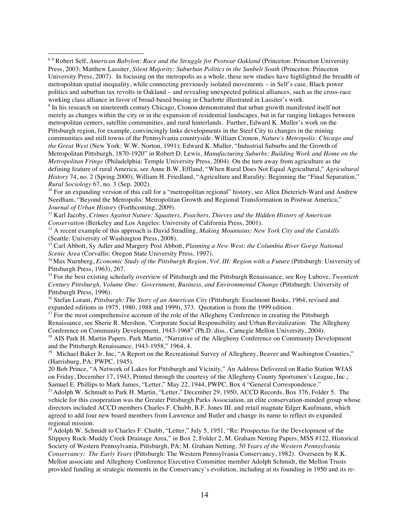$\overline{a}$ 

<sup>9</sup> In his research on nineteenth century Chicago, Cronon demonstrated that urban growth manifested itself not merely as changes within the city or in the expansion of residential landscapes, but in far ranging linkages between metropolitan centers, satellite communities, and rural hinterlands. Further, Edward K. Muller's work on the Pittsburgh region, for example, convincingly links developments in the Steel City to changes in the mining communities and mill towns of the Pennsylvania countryside. William Cronon, *Nature's Metropolis: Chicago and the Great West* (New York: W.W. Norton, 1991); Edward K. Muller, "Industrial Suburbs and the Growth of Metropolitan Pittsburgh, 1870-1920" in Robert D. Lewis, *Manufacturing Suburbs: Building Work and Home on the Metropolitan Fringe* (Philadelphia: Temple University Press, 2004). On the turn away from agriculture as the defining feature of rural America, see Anne B.W. Effland, "When Rural Does Not Equal Agricultural," *Agricultural History* 74, no. 2 (Spring 2000); William H. Friedland, "Agriculture and Rurality: Beginning the "Final Separation," *Rural Sociology* 67, no. 3 (Sep. 2002).

<sup>10</sup> For an expanding version of this call for a "metropolitan regional" history, see Allen Dieterich-Ward and Andrew Needham, "Beyond the Metropolis: Metropolitan Growth and Regional Transformation in Postwar America," *Journal of Urban History* (Forthcoming, 2009).

11 Karl Jacoby, *Crimes Against Nature: Squatters, Poachers, Thieves and the Hidden History of American Conservation* (Berkeley and Los Angeles: University of California Press, 2001).

<sup>12</sup> A recent example of this approach is David Stradling, *Making Mountains: New York City and the Catskills* (Seattle: University of Washington Press, 2008).

<sup>13</sup> Carl Abbott, Sy Adler and Margery Post Abbott, *Planning a New West: the Columbia River Gorge National Scenic Area* (Corvallis: Oregon State University Press, 1997).

<sup>14</sup> Max Nurnberg, *Economic Study of the Pittsburgh Region, Vol. III: Region with a Future* (Pittsburgh: University of Pittsburgh Press, 1963), 267.

15 For the best existing scholarly overview of Pittsburgh and the Pittsburgh Renaissance, see Roy Lubove, *Twentieth Century Pittsburgh, Volume One: Government, Business, and Environmental Change* (Pittsburgh: University of Pittsburgh Press, 1996).

<sup>16</sup> Stefan Lorant, *Pittsburgh: The Story of an American City* (Pittsburgh: Esselmont Books, 1964, revised and expanded editions in 1975, 1980, 1988 and 1999), 373. Quotation is from the 1999 edition.

 $17$  For the most comprehensive account of the role of the Allegheny Conference in creating the Pittsburgh Renaissance, see Sherie R. Mershon, "Corporate Social Responsibility and Urban Revitalization: The Allegheny Conference on Community Development, 1943-1968" (Ph.D. diss., Carnegie Mellon University, 2004).

<sup>18</sup> AIS Park H. Martin Papers. Park Martin, "Narrative of the Allegheny Conference on Community Development and the Pittsburgh Renaissance, 1943-1958," 1964, 4.

<sup>19</sup> Michael Baker Jr. Inc, "A Report on the Recreational Survey of Allegheny, Beaver and Washington Counties," (Harrisburg, PA: PWPC, 1945).

20 Bob Prince, "A Network of Lakes for Pittsburgh and Vicinity," An Address Delivered on Radio Station WJAS on Friday, December 17, 1943, Printed through the courtesy of the Allegheny County Sportsmen's League, Inc.; Samuel E. Phillips to Mark James, "Letter," May 22, 1944, PWPC, Box 4 "General Correspondence."

<sup>21</sup> Adolph W. Schmidt to Park H. Martin, "Letter," December 29, 1950, ACCD Records, Box 376, Folder 5. The vehicle for this cooperation was the Greater Pittsburgh Parks Association, an elite conservation-minded group whose directors included ACCD members Charles F. Chubb, B.F. Jones III, and retail magnate Edger Kaufmann, which agreed to add four new board members from Lawrence and Butler and change its name to reflect its expanded regional mission.

<sup>22</sup> Adolph W. Schmidt to Charles F. Chubb, "Letter," July 5, 1951, "Re: Prospectus for the Development of the Slippery Rock-Muddy Creek Drainage Area," in Box 2, Folder 2, M. Graham Netting Papers, MSS #122, Historical Society of Western Pennsylvania, Pittsburgh, PA; M. Graham Netting, *50 Years of the Western Pennsylvania Conservancy: The Early Years* (Pittsburgh: The Western Pennsylvania Conservancy, 1982). Overseen by R.K. Mellon associate and Allegheny Conference Executive Committee member Adolph Schmidt, the Mellon Trusts provided funding at strategic moments in the Conservancy's evolution, including at its founding in 1950 and its re-

<sup>&</sup>lt;sup>88</sup> Robert Self, *American Babylon: Race and the Struggle for Postwar Oakland* (Princeton: Princeton University Press, 2003; Matthew Lassiter, *Silent Majority: Suburban Politics in the Sunbelt South* (Princeton: Princeton University Press, 2007). In focusing on the metropolis as a whole, these new studies have highlighted the breadth of metropolitan spatial inequality, while connecting previously isolated movements – in Self's case, Black power politics and suburban tax revolts in Oakland – and revealing unexpected political alliances, such as the cross-race working class alliance in favor of broad-based busing in Charlotte illustrated in Lassiter's work.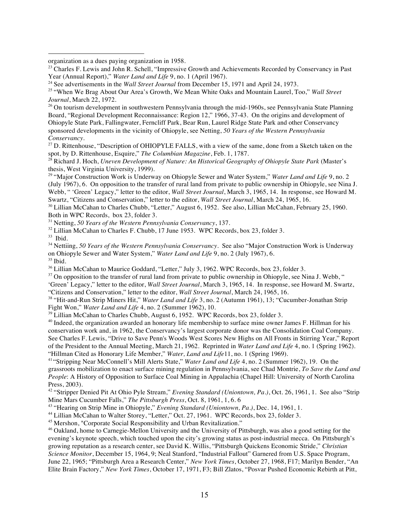organization as a dues paying organization in 1958.

<sup>26</sup> On tourism development in southwestern Pennsylvania through the mid-1960s, see Pennsylvania State Planning Board, "Regional Development Reconnaissance: Region 12," 1966, 37-43. On the origins and development of Ohiopyle State Park, Fallingwater, Ferncliff Park, Bear Run, Laurel Ridge State Park and other Conservancy sponsored developments in the vicinity of Ohiopyle, see Netting, *50 Years of the Western Pennsylvania Conservancy*.

<sup>27</sup> D. Rittenhouse, "Description of OHIOPYLE FALLS, with a view of the same, done from a Sketch taken on the spot, by D. Rittenhouse, Esquire," *The Columbian Magazine*, Feb. 1, 1787.

<sup>28</sup> Richard J. Hoch, *Uneven Development of Nature: An Historical Geography of Ohiopyle State Park* (Master's thesis, West Virginia University, 1999).

<sup>29</sup> "Major Construction Work is Underway on Ohiopyle Sewer and Water System," *Water Land and Life* 9, no. 2 (July 1967), 6. On opposition to the transfer of rural land from private to public ownership in Ohiopyle, see Nina J. Webb, " 'Green' Legacy," letter to the editor, *Wall Street Journal*, March 3, 1965, 14. In response, see Howard M. Swartz, "Citizens and Conservation," letter to the editor, *Wall Street Journal*, March 24, 1965, 16.<br><sup>30</sup> Lillian McCahan to Charles Chubb, "Letter," August 6, 1952. See also, Lillian McCahan, February 25, 1960.

Both in WPC Records, box 23, folder 3.

<sup>31</sup> Netting, *50 Years of the Western Pennsylvania Conservancy*, 137.

 $32$  Lillian McCahan to Charles F. Chubb, 17 June 1953. WPC Records, box 23, folder 3.

33 Ibid.

 $\overline{a}$ 

34 Nettiing, *50 Years of the Western Pennsylvania Conservancy*. See also "Major Construction Work is Underway on Ohiopyle Sewer and Water System," *Water Land and Life* 9, no. 2 (July 1967), 6. 35 Ibid.

<sup>36</sup> Lillian McCahan to Maurice Goddard, "Letter," July 3, 1962. WPC Records, box 23, folder 3.

 $37$  On opposition to the transfer of rural land from private to public ownership in Ohiopyle, see Nina J. Webb, "

'Green' Legacy," letter to the editor, *Wall Street Journal*, March 3, 1965, 14. In response, see Howard M. Swartz, "Citizens and Conservation," letter to the editor, *Wall Street Journal*, March 24, 1965, 16.

38 "Hit-and-Run Strip Miners Hit," *Water Land and Life* 3, no. 2 (Autumn 1961), 13; "Cucumber-Jonathan Strip Fight Won," *Water Land and Life* 4, no. 2 (Summer 1962), 10.

<sup>39</sup> Lillian McCahan to Charles Chubb, August 6, 1952. WPC Records, box 23, folder 3.

<sup>40</sup> Indeed, the organization awarded an honorary life membership to surface mine owner James F. Hillman for his conservation work and, in 1962, the Conservancy's largest corporate donor was the Consolidation Coal Company. See Charles F. Lewis, "Drive to Save Penn's Woods West Scores New Highs on All Fronts in Stirring Year," Report of the President to the Annual Meeting, March 21, 1962. Reprinted in *Water Land and Life* 4, no. 1 (Spring 1962). "Hillman Cited as Honorary Life Member," *Water, Land and Life*11, no. 1 (Spring 1969).

<sup>41</sup> "Stripping Near McConnell's Mill Alerts State," *Water Land and Life* 4, no. 2 (Summer 1962), 19. On the grassroots mobilization to enact surface mining regulation in Pennsylvania, see Chad Montrie, *To Save the Land and People*: A History of Opposition to Surface Coal Mining in Appalachia (Chapel Hill: University of North Carolina Press, 2003).

<sup>42</sup> "Stripper Denied Pit At Ohio Pyle Stream," *Evening Standard (Uniontown, Pa.)*, Oct. 26, 1961, 1. See also "Strip Mine Mars Cucumber Falls," *The Pittsburgh Press*, Oct. 8, 1961, 1, 6. 6

<sup>43</sup> "Hearing on Strip Mine in Ohiopyle," *Evening Standard (Uniontown, Pa.)*, Dec. 14, 1961, 1.

<sup>44</sup> Lillian McCahan to Walter Storey, "Letter," Oct. 27, 1961. WPC Records, box 23, folder 3.

45 Mershon, "Corporate Social Responsibility and Urban Revitalization."

46 Oakland, home to Carnegie-Mellon University and the University of Pittsburgh, was also a good setting for the evening's keynote speech, which touched upon the city's growing status as post-industrial mecca. On Pittsburgh's growing reputation as a research center, see David K. Willis, "Pittsburgh Quickens Economic Stride," *Christian Science Monitor*, December 15, 1964, 9; Neal Stanford, "Industrial Fallout" Garnered from U.S. Space Program, June 22, 1965; "Pittsburgh Area a Research Center," *New York Times*, October 27, 1968, F17; Marilyn Bender, "An Elite Brain Factory," *New York Times*, October 17, 1971, F3; Bill Zlatos, "Posvar Pushed Economic Rebirth at Pitt,

<sup>&</sup>lt;sup>23</sup> Charles F. Lewis and John R. Schell, "Impressive Growth and Achievements Recorded by Conservancy in Past Year (Annual Report)," *Water Land and Life* 9, no. 1 (April 1967).

<sup>&</sup>lt;sup>24</sup> See advertisements in the *Wall Street Journal* from December 15, 1971 and April 24, 1973.

<sup>25 &</sup>quot;When We Brag About Our Area's Growth, We Mean White Oaks and Mountain Laurel, Too," *Wall Street Journal*, March 22, 1972.